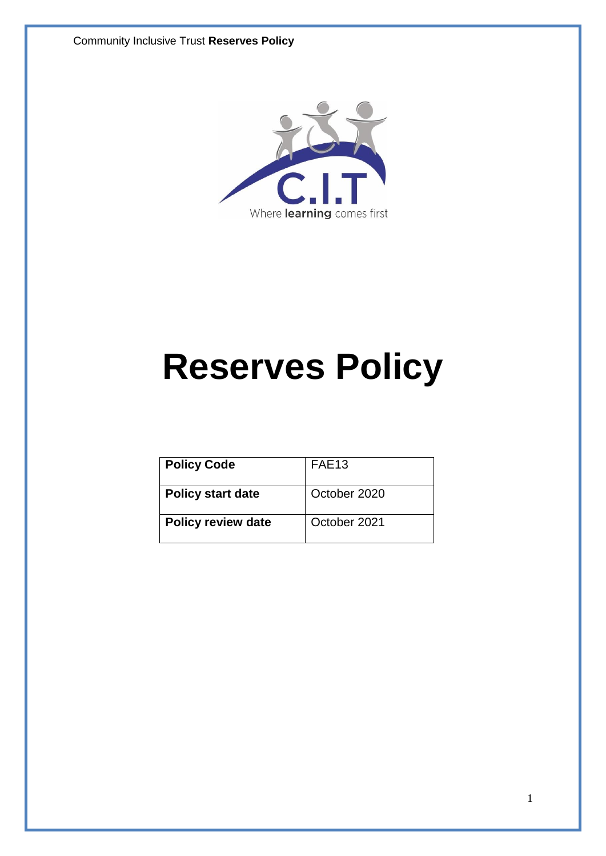Community Inclusive Trust **Reserves Policy**



# **Reserves Policy**

| <b>Policy Code</b>        | FAE <sub>13</sub> |
|---------------------------|-------------------|
| <b>Policy start date</b>  | October 2020      |
| <b>Policy review date</b> | October 2021      |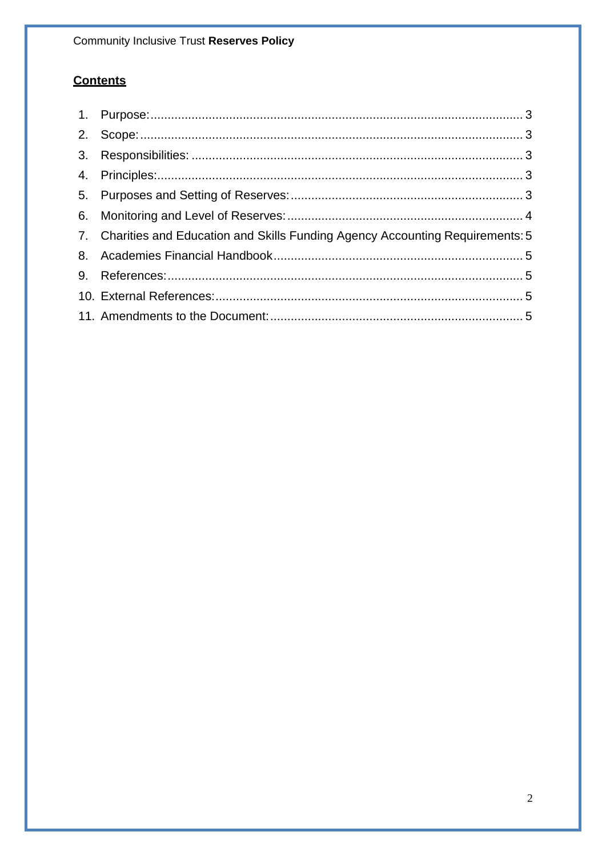**Community Inclusive Trust Reserves Policy** 

# **Contents**

| 7. Charities and Education and Skills Funding Agency Accounting Requirements: 5 |  |
|---------------------------------------------------------------------------------|--|
|                                                                                 |  |
|                                                                                 |  |
|                                                                                 |  |
|                                                                                 |  |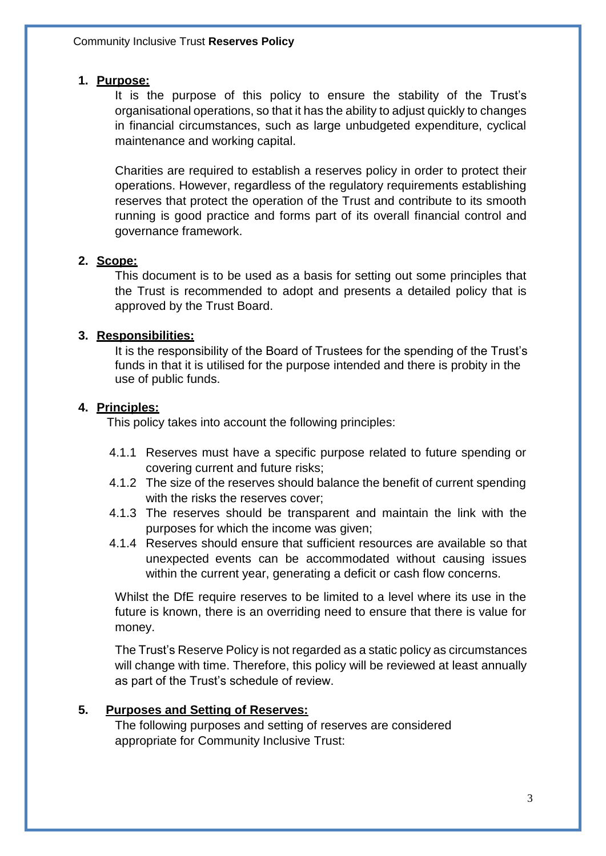#### <span id="page-2-0"></span>**1. Purpose:**

It is the purpose of this policy to ensure the stability of the Trust's organisational operations, so that it has the ability to adjust quickly to changes in financial circumstances, such as large unbudgeted expenditure, cyclical maintenance and working capital.

Charities are required to establish a reserves policy in order to protect their operations. However, regardless of the regulatory requirements establishing reserves that protect the operation of the Trust and contribute to its smooth running is good practice and forms part of its overall financial control and governance framework.

#### <span id="page-2-1"></span>**2. Scope:**

This document is to be used as a basis for setting out some principles that the Trust is recommended to adopt and presents a detailed policy that is approved by the Trust Board.

#### <span id="page-2-2"></span>**3. Responsibilities:**

It is the responsibility of the Board of Trustees for the spending of the Trust's funds in that it is utilised for the purpose intended and there is probity in the use of public funds.

#### <span id="page-2-3"></span>**4. Principles:**

This policy takes into account the following principles:

- 4.1.1 Reserves must have a specific purpose related to future spending or covering current and future risks;
- 4.1.2 The size of the reserves should balance the benefit of current spending with the risks the reserves cover;
- 4.1.3 The reserves should be transparent and maintain the link with the purposes for which the income was given;
- 4.1.4 Reserves should ensure that sufficient resources are available so that unexpected events can be accommodated without causing issues within the current year, generating a deficit or cash flow concerns.

Whilst the DfE require reserves to be limited to a level where its use in the future is known, there is an overriding need to ensure that there is value for money.

The Trust's Reserve Policy is not regarded as a static policy as circumstances will change with time. Therefore, this policy will be reviewed at least annually as part of the Trust's schedule of review.

#### <span id="page-2-4"></span>**5. Purposes and Setting of Reserves:**

The following purposes and setting of reserves are considered appropriate for Community Inclusive Trust: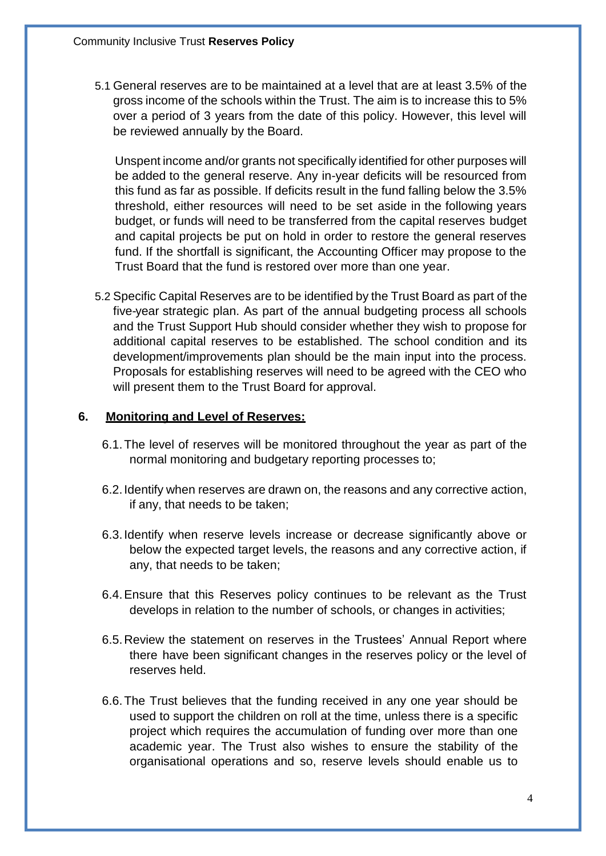5.1 General reserves are to be maintained at a level that are at least 3.5% of the gross income of the schools within the Trust. The aim is to increase this to 5% over a period of 3 years from the date of this policy. However, this level will be reviewed annually by the Board.

Unspent income and/or grants not specifically identified for other purposes will be added to the general reserve. Any in-year deficits will be resourced from this fund as far as possible. If deficits result in the fund falling below the 3.5% threshold, either resources will need to be set aside in the following years budget, or funds will need to be transferred from the capital reserves budget and capital projects be put on hold in order to restore the general reserves fund. If the shortfall is significant, the Accounting Officer may propose to the Trust Board that the fund is restored over more than one year.

5.2 Specific Capital Reserves are to be identified by the Trust Board as part of the five-year strategic plan. As part of the annual budgeting process all schools and the Trust Support Hub should consider whether they wish to propose for additional capital reserves to be established. The school condition and its development/improvements plan should be the main input into the process. Proposals for establishing reserves will need to be agreed with the CEO who will present them to the Trust Board for approval.

#### <span id="page-3-0"></span>**6. Monitoring and Level of Reserves:**

- 6.1.The level of reserves will be monitored throughout the year as part of the normal monitoring and budgetary reporting processes to;
- 6.2.Identify when reserves are drawn on, the reasons and any corrective action, if any, that needs to be taken;
- 6.3.Identify when reserve levels increase or decrease significantly above or below the expected target levels, the reasons and any corrective action, if any, that needs to be taken;
- 6.4.Ensure that this Reserves policy continues to be relevant as the Trust develops in relation to the number of schools, or changes in activities;
- 6.5.Review the statement on reserves in the Trustees' Annual Report where there have been significant changes in the reserves policy or the level of reserves held.
- 6.6.The Trust believes that the funding received in any one year should be used to support the children on roll at the time, unless there is a specific project which requires the accumulation of funding over more than one academic year. The Trust also wishes to ensure the stability of the organisational operations and so, reserve levels should enable us to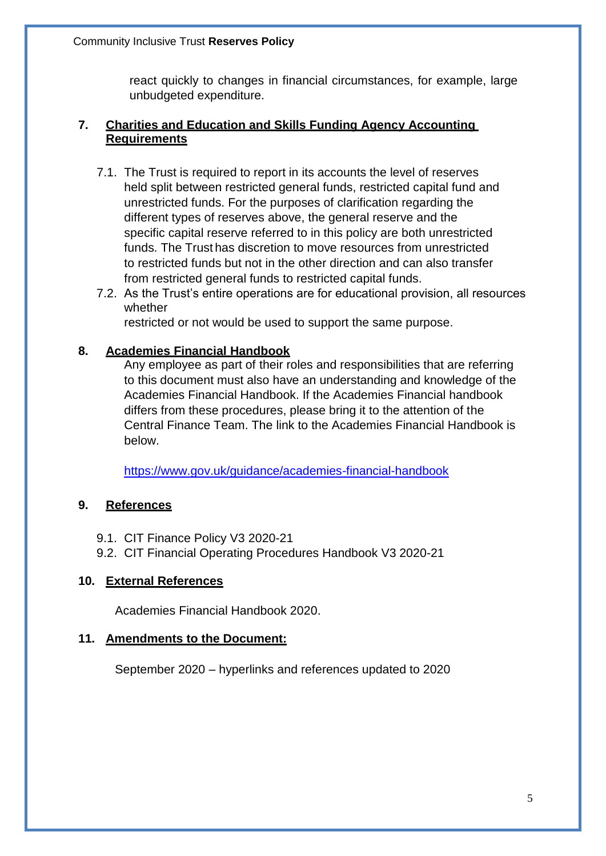react quickly to changes in financial circumstances, for example, large unbudgeted expenditure.

## <span id="page-4-0"></span>**7. Charities and Education and Skills Funding Agency Accounting Requirements**

- 7.1. The Trust is required to report in its accounts the level of reserves held split between restricted general funds, restricted capital fund and unrestricted funds. For the purposes of clarification regarding the different types of reserves above, the general reserve and the specific capital reserve referred to in this policy are both unrestricted funds. The Trust has discretion to move resources from unrestricted to restricted funds but not in the other direction and can also transfer from restricted general funds to restricted capital funds.
- 7.2. As the Trust's entire operations are for educational provision, all resources whether

restricted or not would be used to support the same purpose.

## <span id="page-4-1"></span>**8. Academies Financial Handbook**

Any employee as part of their roles and responsibilities that are referring to this document must also have an understanding and knowledge of the Academies Financial Handbook. If the Academies Financial handbook differs from these procedures, please bring it to the attention of the Central Finance Team. The link to the Academies Financial Handbook is below.

<https://www.gov.uk/guidance/academies-financial-handbook>

## <span id="page-4-2"></span>**9. References**

- 9.1. CIT Finance Policy V3 2020-21
- 9.2. CIT Financial Operating Procedures Handbook V3 2020-21

## <span id="page-4-3"></span>**10. External References**

Academies Financial Handbook 2020.

## <span id="page-4-4"></span>**11. Amendments to the Document:**

September 2020 – hyperlinks and references updated to 2020